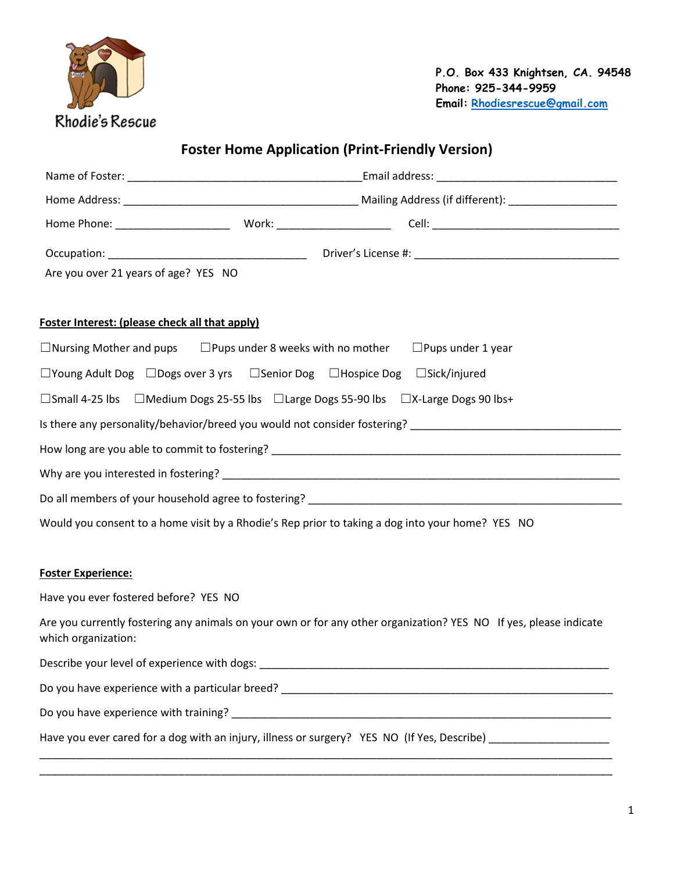

**Foster Home Application (Print-Friendly Version)**

| Are you over 21 years of age? YES NO                                                                                                     |
|------------------------------------------------------------------------------------------------------------------------------------------|
| <b>Foster Interest: (please check all that apply)</b>                                                                                    |
| $\Box$ Nursing Mother and pups $\Box$ Pups under 8 weeks with no mother $\Box$ Pups under 1 year                                         |
| $\Box$ Young Adult Dog $\Box$ Dogs over 3 yrs $\Box$ Senior Dog $\Box$ Hospice Dog $\Box$ Sick/injured                                   |
| □Small 4-25 lbs □Medium Dogs 25-55 lbs □Large Dogs 55-90 lbs □X-Large Dogs 90 lbs+                                                       |
|                                                                                                                                          |
|                                                                                                                                          |
|                                                                                                                                          |
|                                                                                                                                          |
| Would you consent to a home visit by a Rhodie's Rep prior to taking a dog into your home? YES NO                                         |
|                                                                                                                                          |
| <b>Foster Experience:</b>                                                                                                                |
| Have you ever fostered before? YES NO                                                                                                    |
| Are you currently fostering any animals on your own or for any other organization? YES NO If yes, please indicate<br>which organization: |
| Describe your level of experience with dogs:                                                                                             |
|                                                                                                                                          |
|                                                                                                                                          |
| Have you ever cared for a dog with an injury, illness or surgery? YES NO (If Yes, Describe) __________________                           |

\_\_\_\_\_\_\_\_\_\_\_\_\_\_\_\_\_\_\_\_\_\_\_\_\_\_\_\_\_\_\_\_\_\_\_\_\_\_\_\_\_\_\_\_\_\_\_\_\_\_\_\_\_\_\_\_\_\_\_\_\_\_\_\_\_\_\_\_\_\_\_\_\_\_\_\_\_\_\_\_\_\_\_\_\_\_\_\_\_\_\_\_\_\_\_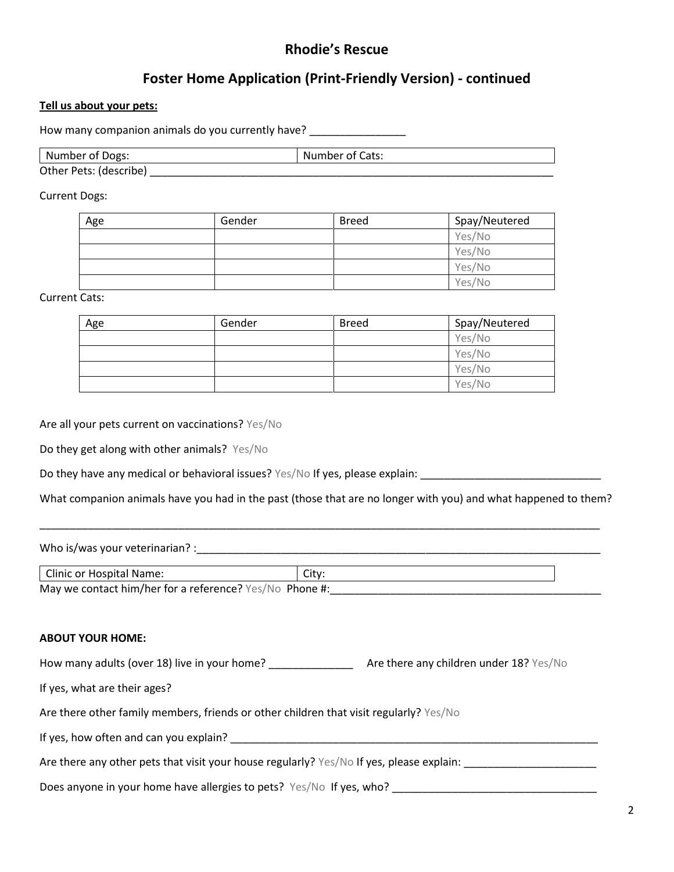# **Rhodie's Rescue**

# **Foster Home Application (Print-Friendly Version) - continued**

#### **Tell us about your pets:**

How many companion animals do you currently have? \_\_\_\_\_\_\_\_\_\_\_\_\_\_\_\_\_\_\_\_\_\_\_\_\_\_\_\_\_\_

| Number of Dogs:        | Number of Cats: |
|------------------------|-----------------|
| Other Pets: (describe) |                 |

Current Dogs:

| Age | Gender | <b>Breed</b> | Spay/Neutered |
|-----|--------|--------------|---------------|
|     |        |              | Yes/No        |
|     |        |              | Yes/No        |
|     |        |              | Yes/No        |
|     |        |              | Yes/No        |

Current Cats:

| Age | Gender | <b>Breed</b> | Spay/Neutered |
|-----|--------|--------------|---------------|
|     |        |              | Yes/No        |
|     |        |              | Yes/No        |
|     |        |              | Yes/No        |
|     |        |              | Yes/No        |

Are all your pets current on vaccinations? Yes/No

Do they get along with other animals? Yes/No

Do they have any medical or behavioral issues? Yes/No If yes, please explain: \_\_\_\_\_\_\_\_\_\_\_\_\_\_\_\_\_\_\_\_\_\_\_\_\_\_\_\_\_\_\_\_

What companion animals have you had in the past (those that are no longer with you) and what happened to them?

\_\_\_\_\_\_\_\_\_\_\_\_\_\_\_\_\_\_\_\_\_\_\_\_\_\_\_\_\_\_\_\_\_\_\_\_\_\_\_\_\_\_\_\_\_\_\_\_\_\_\_\_\_\_\_\_\_\_\_\_\_\_\_\_\_\_\_\_\_\_\_\_\_\_\_\_\_\_\_\_\_\_\_\_\_\_\_\_\_\_\_\_\_

Who is/was your veterinarian? :\_\_\_\_\_\_\_\_\_\_\_\_\_\_\_\_\_\_\_\_\_\_\_\_\_\_\_\_\_\_\_\_\_\_\_\_\_\_\_\_\_\_\_\_\_\_\_\_\_\_\_\_\_\_\_\_\_\_\_\_\_\_\_\_\_\_\_

| Clinic or Hospital Name:                                | Citv: |
|---------------------------------------------------------|-------|
| May we contact him/her for a reference? Yes/No Phone #: |       |

#### **ABOUT YOUR HOME:**

| How many adults (over 18) live in your home?                                             | Are there any children under 18? Yes/No |
|------------------------------------------------------------------------------------------|-----------------------------------------|
| If yes, what are their ages?                                                             |                                         |
| Are there other family members, friends or other children that visit regularly? Yes/No   |                                         |
| If yes, how often and can you explain?                                                   |                                         |
| Are there any other pets that visit your house regularly? Yes/No If yes, please explain: |                                         |
| Does anyone in your home have allergies to pets? Yes/No If yes, who?                     |                                         |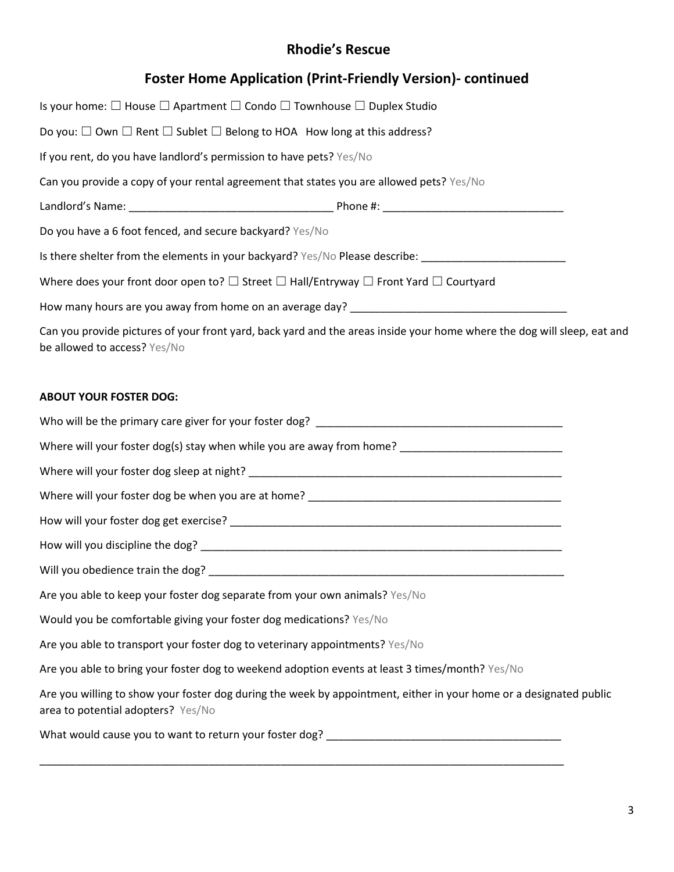## **Rhodie's Rescue**

### **Foster Home Application (Print-Friendly Version)- continued**

| Is your home: $\square$ House $\square$ Apartment $\square$ Condo $\square$ Townhouse $\square$ Duplex Studio                                           |  |
|---------------------------------------------------------------------------------------------------------------------------------------------------------|--|
| Do you: $\square$ Own $\square$ Rent $\square$ Sublet $\square$ Belong to HOA How long at this address?                                                 |  |
| If you rent, do you have landlord's permission to have pets? Yes/No                                                                                     |  |
| Can you provide a copy of your rental agreement that states you are allowed pets? Yes/No                                                                |  |
|                                                                                                                                                         |  |
| Do you have a 6 foot fenced, and secure backyard? Yes/No                                                                                                |  |
| Is there shelter from the elements in your backyard? Yes/No Please describe: ______________________                                                     |  |
| Where does your front door open to? $\square$ Street $\square$ Hall/Entryway $\square$ Front Yard $\square$ Courtyard                                   |  |
| How many hours are you away from home on an average day?                                                                                                |  |
| Can you provide pictures of your front yard, back yard and the areas inside your home where the dog will sleep, eat and<br>be allowed to access? Yes/No |  |

#### **ABOUT YOUR FOSTER DOG:**

Who will be the primary care giver for your foster dog? \_\_\_\_\_\_\_\_\_\_\_\_\_\_\_\_\_\_\_\_\_\_\_\_\_\_\_\_\_\_\_\_\_\_\_\_\_\_\_\_\_

Where will your foster dog(s) stay when while you are away from home?

Where will your foster dog sleep at night? \_\_\_\_\_\_\_\_\_\_\_\_\_\_\_\_\_\_\_\_\_\_\_\_\_\_\_\_\_\_\_\_\_\_\_\_\_\_\_\_\_\_\_\_\_\_\_\_\_\_\_\_

Where will your foster dog be when you are at home? \_\_\_\_\_\_\_\_\_\_\_\_\_\_\_\_\_\_\_\_\_\_\_\_\_\_\_\_

How will your foster dog get exercise?  $\blacksquare$ 

How will you discipline the dog? \_\_\_\_\_\_\_\_\_\_\_\_\_\_\_\_\_\_\_\_\_\_\_\_\_\_\_\_\_\_\_\_\_\_\_\_\_\_\_\_\_\_\_\_\_\_\_\_\_\_\_\_\_\_\_\_\_\_\_\_

Will you obedience train the dog?

Are you able to keep your foster dog separate from your own animals? Yes/No

Would you be comfortable giving your foster dog medications? Yes/No

Are you able to transport your foster dog to veterinary appointments? Yes/No

Are you able to bring your foster dog to weekend adoption events at least 3 times/month? Yes/No

Are you willing to show your foster dog during the week by appointment, either in your home or a designated public area to potential adopters? Yes/No

\_\_\_\_\_\_\_\_\_\_\_\_\_\_\_\_\_\_\_\_\_\_\_\_\_\_\_\_\_\_\_\_\_\_\_\_\_\_\_\_\_\_\_\_\_\_\_\_\_\_\_\_\_\_\_\_\_\_\_\_\_\_\_\_\_\_\_\_\_\_\_\_\_\_\_\_\_\_\_\_\_\_\_\_\_\_\_

What would cause you to want to return your foster dog? \_\_\_\_\_\_\_\_\_\_\_\_\_\_\_\_\_\_\_\_\_\_\_\_\_\_\_\_\_\_\_\_\_\_\_\_\_\_\_